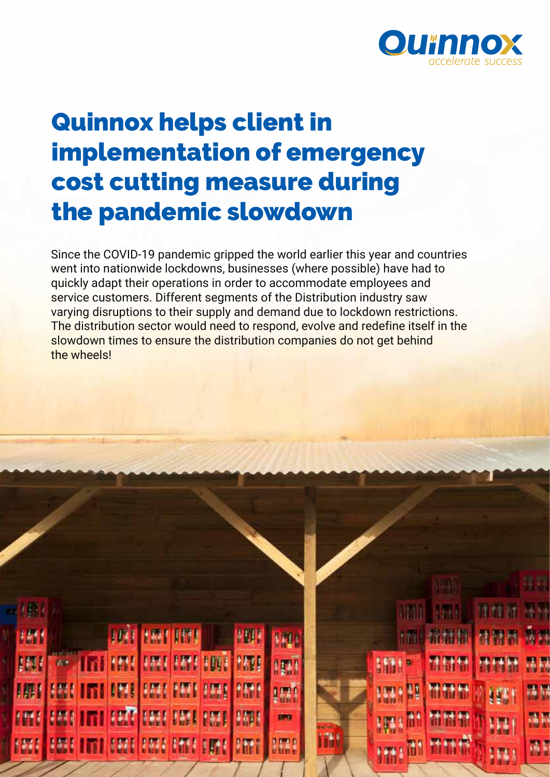

# Quinnox helps client in implementation of emergency cost cutting measure during the pandemic slowdown

Since the COVID-19 pandemic gripped the world earlier this year and countries went into nationwide lockdowns, businesses (where possible) have had to quickly adapt their operations in order to accommodate employees and service customers. Different segments of the Distribution industry saw varying disruptions to their supply and demand due to lockdown restrictions. The distribution sector would need to respond, evolve and redefine itself in the slowdown times to ensure the distribution companies do not get behind the wheels!

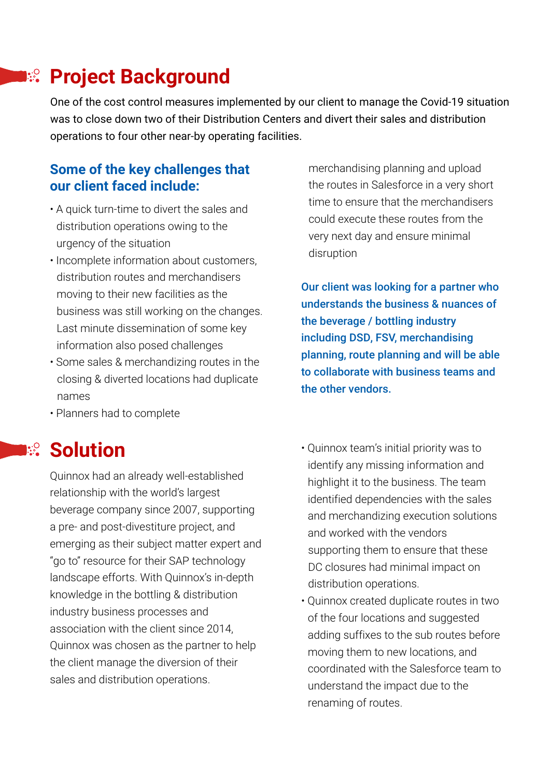## **Project Background**

One of the cost control measures implemented by our client to manage the Covid-19 situation was to close down two of their Distribution Centers and divert their sales and distribution operations to four other near-by operating facilities.

### **Some of the key challenges that our client faced include:**

- A quick turn-time to divert the sales and distribution operations owing to the urgency of the situation
- Incomplete information about customers, distribution routes and merchandisers moving to their new facilities as the business was still working on the changes. Last minute dissemination of some key information also posed challenges
- Some sales & merchandizing routes in the closing & diverted locations had duplicate names
- Planners had to complete

## **Ref** Solution

Quinnox had an already well-established relationship with the world's largest beverage company since 2007, supporting a pre- and post-divestiture project, and emerging as their subject matter expert and "go to" resource for their SAP technology landscape efforts. With Quinnox's in-depth knowledge in the bottling & distribution industry business processes and association with the client since 2014, Quinnox was chosen as the partner to help the client manage the diversion of their sales and distribution operations.

 merchandising planning and upload the routes in Salesforce in a very short time to ensure that the merchandisers could execute these routes from the very next day and ensure minimal disruption

Our client was looking for a partner who understands the business & nuances of the beverage / bottling industry including DSD, FSV, merchandising planning, route planning and will be able to collaborate with business teams and the other vendors.

- Quinnox team's initial priority was to identify any missing information and highlight it to the business. The team identified dependencies with the sales and merchandizing execution solutions and worked with the vendors supporting them to ensure that these DC closures had minimal impact on distribution operations.
- Quinnox created duplicate routes in two of the four locations and suggested adding suffixes to the sub routes before moving them to new locations, and coordinated with the Salesforce team to understand the impact due to the renaming of routes.